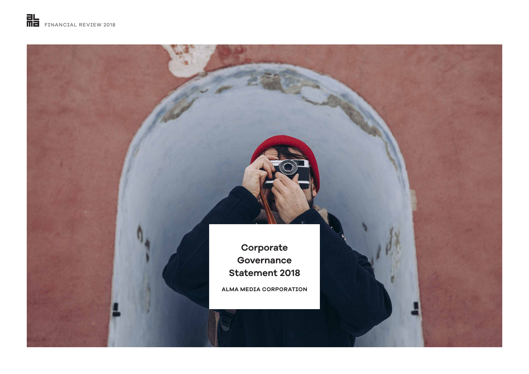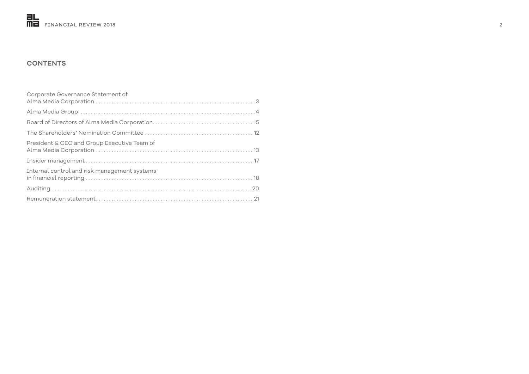

# **CONTENTS**

| Corporate Governance Statement of            |  |
|----------------------------------------------|--|
|                                              |  |
|                                              |  |
|                                              |  |
| President & CEO and Group Executive Team of  |  |
|                                              |  |
| Internal control and risk management systems |  |
|                                              |  |
|                                              |  |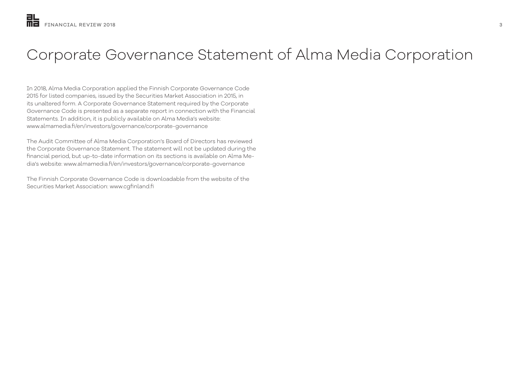# Corporate Governance Statement of Alma Media Corporation

In 2018, Alma Media Corporation applied the Finnish Corporate Governance Code 2015 for listed companies, issued by the Securities Market Association in 2015, in its unaltered form. A Corporate Governance Statement required by the Corporate Governance Code is presented as a separate report in connection with the Financial Statements. In addition, it is publicly available on Alma Media's website: www.almamedia.fi/en/investors/governance/corporate-governance

The Audit Committee of Alma Media Corporation's Board of Directors has reviewed the Corporate Governance Statement. The statement will not be updated during the financial period, but up-to-date information on its sections is available on Alma Media's website: www.almamedia.fi/en/investors/governance/corporate-governance

The Finnish Corporate Governance Code is downloadable from the website of the Securities Market Association: www.cgfinland.fi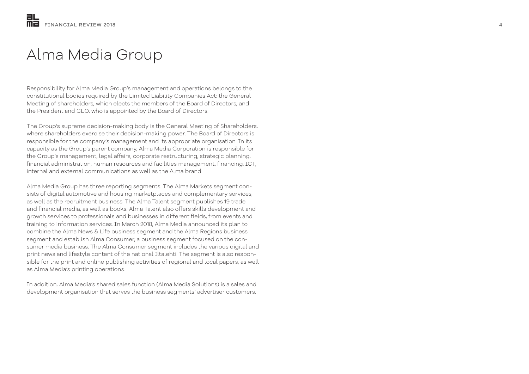# Alma Media Group

Responsibility for Alma Media Group's management and operations belongs to the constitutional bodies required by the Limited Liability Companies Act: the General Meeting of shareholders, which elects the members of the Board of Directors; and the President and CEO, who is appointed by the Board of Directors.

The Group's supreme decision-making body is the General Meeting of Shareholders, where shareholders exercise their decision-making power. The Board of Directors is responsible for the company's management and its appropriate organisation. In its capacity as the Group's parent company, Alma Media Corporation is responsible for the Group's management, legal affairs, corporate restructuring, strategic planning, financial administration, human resources and facilities management, financing, ICT, internal and external communications as well as the Alma brand.

Alma Media Group has three reporting segments. The Alma Markets segment con sists of digital automotive and housing marketplaces and complementary services, as well as the recruitment business. The Alma Talent segment publishes 19 trade and financial media, as well as books. Alma Talent also offers skills development and growth services to professionals and businesses in different fields, from events and training to information services. In March 2018, Alma Media announced its plan to combine the Alma News & Life business segment and the Alma Regions business segment and establish Alma Consumer, a business segment focused on the con sumer media business. The Alma Consumer segment includes the various digital and print news and lifestyle content of the national Iltalehti. The segment is also respon sible for the print and online publishing activities of regional and local papers, as well as Alma Media's printing operations.

In addition, Alma Media's shared sales function (Alma Media Solutions) is a sales and development organisation that serves the business segments' advertiser customers.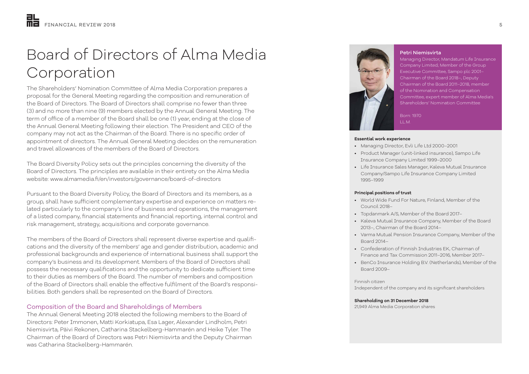# Board of Directors of Alma Media Corporation

The Shareholders' Nomination Committee of Alma Media Corporation prepares a proposal for the General Meeting regarding the composition and remuneration of the Board of Directors. The Board of Directors shall comprise no fewer than three (3) and no more than nine (9) members elected by the Annual General Meeting. The term of office of a member of the Board shall be one (1) year, ending at the close of the Annual General Meeting following their election. The President and CEO of the company may not act as the Chairman of the Board. There is no specific order of appointment of directors. The Annual General Meeting decides on the remuneration and travel allowances of the members of the Board of Directors.

The Board Diversity Policy sets out the principles concerning the diversity of the Board of Directors. The principles are available in their entirety on the Alma Media website: www.almamedia.fi/en/investors/governance/board-of-directors

Pursuant to the Board Diversity Policy, the Board of Directors and its members, as a group, shall have sufficient complementary expertise and experience on matters related particularly to the company's line of business and operations, the management of a listed company, financial statements and financial reporting, internal control and risk management, strategy, acquisitions and corporate governance.

The members of the Board of Directors shall represent diverse expertise and qualifications and the diversity of the members' age and gender distribution, academic and professional backgrounds and experience of international business shall support the company's business and its development. Members of the Board of Directors shall possess the necessary qualifications and the opportunity to dedicate sufficient time to their duties as members of the Board. The number of members and composition of the Board of Directors shall enable the effective fulfilment of the Board's responsibilities. Both genders shall be represented on the Board of Directors.

### Composition of the Board and Shareholdings of Members

The Annual General Meeting 2018 elected the following members to the Board of Directors: Peter Immonen, Matti Korkiatupa, Esa Lager, Alexander Lindholm, Petri Niemisvirta, Päivi Rekonen, Catharina Stackelberg-Hammarén and Heike Tyler. The Chairman of the Board of Directors was Petri Niemisvirta and the Deputy Chairman was Catharina Stackelberg-Hammarén.



#### Petri Niemisvirta

Managing Director, Mandatum Life Insurance Company Limited; Member of the Group Executive Committee, Sampo plc 2001– Chairman of the Board 2018–, Deputy Chairman of the Board 2011–2018, member of the Nomination and Compensation Committee, expert member of Alma Media's Shareholders' Nomination Committee

Born: 1970 LL.M.

#### **Essential work experience**

- Managing Director, Evli Life Ltd 2000–2001
- Product Manager (unit-linked insurance), Sampo Life Insurance Company Limited 1999–2000
- Life Insurance Sales Manager, Kaleva Mutual Insurance Company/Sampo Life Insurance Company Limited 1995–1999

#### **Principal positions of trust**

- World Wide Fund For Nature, Finland, Member of the Council 2018–
- Topdanmark A/S, Member of the Board 2017–
- Kaleva Mutual Insurance Company, Member of the Board 2013–, Chairman of the Board 2014–
- Varma Mutual Pension Insurance Company, Member of the Board 2014–
- Confederation of Finnish Industries EK, Chairman of Finance and Tax Commission 2011–2016, Member 2017–
- BenCo Insurance Holding B.V. (Netherlands), Member of the Board 2009–

#### Finnish citizen Independent of the company and its significant shareholders

### **Shareholding on 31 December 2018**

21,949 Alma Media Corporation shares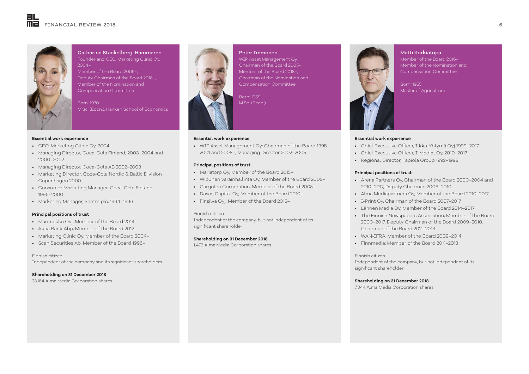

Catharina Stackelberg-Hammarén Founder and CEO, Marketing Clinic Oy,  $2004-$ 

Member of the Board 2009–, Deputy Chairman of the Board 2018–, Member of the Nomination and Compensation Committee

Born: 1970 M.Sc. (Econ.), Hanken School of Economics

#### **Essential work experience**

- CEO, Marketing Clinic Oy, 2004–
- Managing Director, Coca-Cola Finland, 2003–2004 and 2000–2002
- Managing Director, Coca-Cola AB 2002–2003
- Marketing Director, Coca-Cola Nordic & Baltic Division Copenhagen 2000
- Consumer Marketing Manager, Coca-Cola Finland, 1996–2000
- Marketing Manager, Sentra plc, 1994–1996

#### **Principal positions of trust**

- Marimekko Oyj, Member of the Board 2014–
- Aktia Bank Abp, Member of the Board 2012–
- Marketing Clinic Oy, Member of the Board 2004–
- Scan Securities Ab, Member of the Board 1996–

#### Finnish citizen

Independent of the company and its significant shareholders

**Shareholding on 31 December 2018** 23,164 Alma Media Corporation shares



Peter Immonen WIP Asset Management Oy, Chairman of the Board 2005– Member of the Board 2018–, Chairman of the Nomination and Compensation Committee

Born: 1959 M.Sc. (Econ.)

### **Essential work experience**

• WIP Asset Management Oy: Chairman of the Board 1995– 2001 and 2005–, Managing Director 2002–2005

#### **Principal positions of trust**

- Mariatorp Oy, Member of the Board 2015–
- Wipunen varainhallinta Oy, Member of the Board 2005–
- Cargotec Corporation, Member of the Board 2005–
- Dasos Capital Oy, Member of the Board 2010–
- Finsilva Oyj, Member of the Board 2015–

#### Finnish citizen

Independent of the company, but not independent of its significant shareholder

#### **Shareholding on 31 December 2018**

1,473 Alma Media Corporation shares



Matti Korkiatupa Member of the Board 2016–, Member of the Nomination and Compensation Committee

Born: 1955 Master of Agriculture

#### **Essential work experience**

- Chief Executive Officer, Ilkka-Yhtymä Oyj 1999–2017
- Chief Executive Officer, I-Mediat Oy, 2010–2017
- Regional Director, Tapiola Group 1992–1998

#### **Principal positions of trust**

- Arena Partners Oy, Chairman of the Board 2000–2004 and 2010–2017, Deputy Chairman 2006–2010
- Alma Mediapartners Oy, Member of the Board 2010–2017
- I-Print Oy, Chairman of the Board 2007–2017
- Lännen Media Oy, Member of the Board 2014–2017
- The Finnish Newspapers Association, Member of the Board 2000–2017, Deputy Chairman of the Board 2009–2010, Chairman of the Board 2011–2013
- WAN-IFRA, Member of the Board 2009–2014
- Finnmedia: Member of the Board 2011–2013

#### Finnish citizen

Independent of the company, but not independent of its significant shareholder

#### **Shareholding on 31 December 2018**

7,344 Alma Media Corporation shares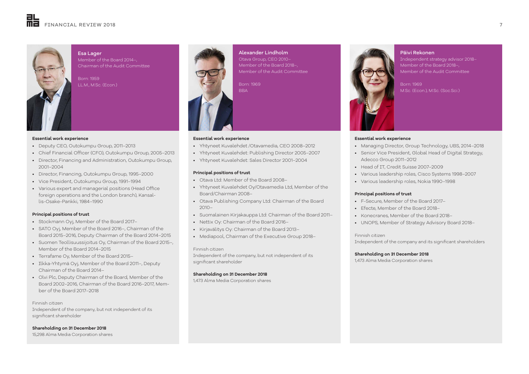

Esa Lager Member of the Board 2014–, Chairman of the Audit Committee

Born: 1959 LL.M., M.Sc. (Econ.)

#### **Essential work experience**

- Deputy CEO, Outokumpu Group, 2011–2013
- Chief Financial Officer (CFO), Outokumpu Group, 2005–2013
- Director, Financing and Administration, Outokumpu Group, 2001–2004
- Director, Financing, Outokumpu Group, 1995–2000
- Vice President, Outokumpu Group, 1991–1994
- Various expert and managerial positions (Head Office foreign operations and the London branch), Kansallis-Osake-Pankki, 1984–1990

#### **Principal positions of trust**

- Stockmann Oyj, Member of the Board 2017–
- SATO Oyj, Member of the Board 2016–, Chairman of the Board 2015–2016, Deputy Chairman of the Board 2014–2015
- Suomen Teollisuussijoitus Oy, Chairman of the Board 2015–, Member of the Board 2014–2015
- Terrafame Oy, Member of the Board 2015–
- Ilkka-Yhtymä Oyj, Member of the Board 2011–, Deputy Chairman of the Board 2014–
- Olvi Plc, Deputy Chairman of the Board, Member of the Board 2002–2016, Chairman of the Board 2016–2017, Member of the Board 2017–2018

#### Finnish citizen

Independent of the company, but not independent of its significant shareholder

**Shareholding on 31 December 2018**

15,298 Alma Media Corporation shares



**Principal positions of trust**

Board/Chairman 2008–

2010–

Finnish citizen

significant shareholder

**Shareholding on 31 December 2018** 1,473 Alma Media Corporation shares

• Otava Ltd: Member of the Board 2008–

• Nettix Oy: Chairman of the Board 2016– • Kirjavälitys Oy: Chairman of the Board 2013– • Mediapool, Chairman of the Executive Group 2018–

Alexander Lindholm Otava Group, CEO 2010– Member of the Board 2018-Member of the Audit Committee

Born: 1969 **BBA** 

• Yhtyneet Kuvalehdet /Otavamedia, CEO 2008–2012 • Yhtyneet Kuvalehdet: Publishing Director 2005–2007 • Yhtyneet Kuvalehdet: Sales Director 2001–2004

• Yhtyneet Kuvalehdet Oy/Otavamedia Ltd, Member of the

• Otava Publishing Company Ltd: Chairman of the Board

Independent of the company, but not independent of its

• Suomalainen Kirjakauppa Ltd: Chairman of the Board 2011–



#### Päivi Rekonen

Independent strategy advisor 2018– Member of the Board 2018–, Member of the Audit Committee

Born: 1969 M.Sc. (Econ.), M.Sc. (Soc.Sci.)

#### **Essential work experience**

- Managing Director, Group Technology, UBS, 2014–2018
- Senior Vice President, Global Head of Digital Strategy, Adecco Group 2011–2012
- Head of IT, Credit Suisse 2007–2009
- Various leadership roles, Cisco Systems 1998–2007
- Various leadership roles, Nokia 1990–1998

#### **Principal positions of trust**

- F-Secure, Member of the Board 2017–
- Efecte, Member of the Board 2018–
- Konecranes, Member of the Board 2018–
- UNOPS, Member of Strategy Advisory Board 2018–

#### Finnish citizen

Independent of the company and its significant shareholders

#### **Shareholding on 31 December 2018**

1,473 Alma Media Corporation shares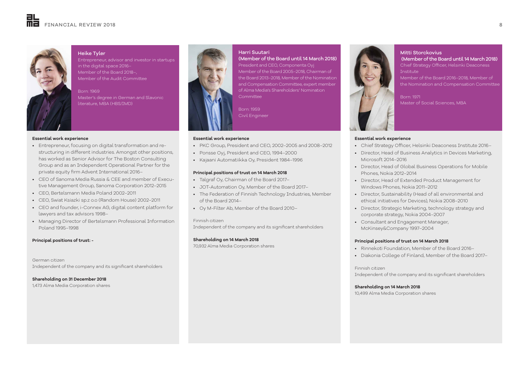

#### Heike Tyler

Entrepreneur, advisor and investor in startups in the digital space 2016– Member of the Board 2018–, Member of the Audit Committee

Born: 1969 Master's degree in German and Slavonic literature, MBA (HBS/IMD)

#### **Essential work experience**

- Entrepreneur, focusing on digital transformation and restructuring in different industries. Amongst other positions, has worked as Senior Advisor for The Boston Consulting Group and as an Independent Operational Partner for the private equity firm Advent International 2016–
- CEO of Sanoma Media Russia & CEE and member of Executive Management Group, Sanoma Corporation 2012–2015
- CEO, Bertelsmann Media Poland 2002–2011
- CEO, Swiat Ksiazki sp.z o.o (Random House) 2002–2011
- CEO and founder, i-Connex AG, digital content platform for lawyers and tax advisors 1998–
- Managing Director of Bertelsmann Professional Information Poland 1995–1998

#### **Principal positions of trust: -**

German citizen Independent of the company and its significant shareholders

**Shareholding on 31 December 2018** 1,473 Alma Media Corporation shares



# Harri Suutari President and CEO, Componenta Oyj

the Board 2013–2018, Member of the Nomination and Compensation Committee, expert member of Alma Media's Shareholders' Nomination **Committee** 

Born: 1959 Civil Engineer

#### **Essential work experience**

- PKC Group, President and CEO, 2002–2005 and 2008–2012
- Ponsse Oyj, President and CEO, 1994–2000
- Kajaani Automatiikka Oy, President 1984–1996

#### **Principal positions of trust on 14 March 2018**

- Talgraf Oy, Chairman of the Board 2017–
- JOT-Automation Oy, Member of the Board 2017–
- The Federation of Finnish Technology Industries, Member of the Board 2014–
- Oy M-Filter Ab, Member of the Board 2010–

#### Finnish citizen

Independent of the company and its significant shareholders

#### **Shareholding on 14 March 2018**

70,932 Alma Media Corporation shares

Mitti Storckovius (Member of the Board until 14 March 2018) Chief Strategy Officer, Helsinki Deaconess Institute

Member of the Board 2016–2018, Member of the Nomination and Compensation Committee

Master of Social Sciences, MBA

#### **Essential work experience**

- Chief Strategy Officer, Helsinki Deaconess Institute 2016–
- Director, Head of Business Analytics in Devices Marketing, Microsoft 2014–2016
- Director, Head of Global Business Operations for Mobile Phones, Nokia 2012–2014
- Director, Head of Extended Product Management for Windows Phones, Nokia 2011–2012
- Director, Sustainability (Head of all environmental and ethical initiatives for Devices), Nokia 2008–2010
- Director, Strategic Marketing, technology strategy and corporate strategy, Nokia 2004–2007
- Consultant and Engagement Manager, McKinsey&Company 1997–2004

#### **Principal positions of trust on 14 March 2018**

- Rinnekoti Foundation, Member of the Board 2016–
- Diakonia College of Finland, Member of the Board 2017–

Finnish citizen Independent of the company and its significant shareholders

**Shareholding on 14 March 2018** 10,499 Alma Media Corporation shares

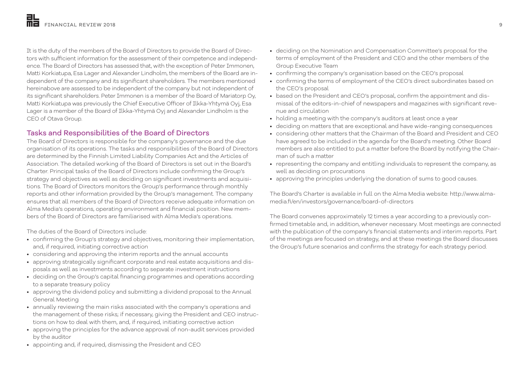It is the duty of the members of the Board of Directors to provide the Board of Directors with sufficient information for the assessment of their competence and independence. The Board of Directors has assessed that, with the exception of Peter Immonen, Matti Korkiatupa, Esa Lager and Alexander Lindholm, the members of the Board are independent of the company and its significant shareholders. The members mentioned hereinabove are assessed to be independent of the company but not independent of its significant shareholders. Peter Immonen is a member of the Board of Mariatorp Oy, Matti Korkiatupa was previously the Chief Executive Officer of Ilkka-Yhtymä Oyj, Esa Lager is a member of the Board of Ilkka-Yhtymä Oyj and Alexander Lindholm is the CEO of Otava Group.

# Tasks and Responsibilities of the Board of Directors

The Board of Directors is responsible for the company's governance and the due organisation of its operations. The tasks and responsibilities of the Board of Directors are determined by the Finnish Limited Liability Companies Act and the Articles of Association. The detailed working of the Board of Directors is set out in the Board's Charter. Principal tasks of the Board of Directors include confirming the Group's strategy and objectives as well as deciding on significant investments and acquisitions. The Board of Directors monitors the Group's performance through monthly reports and other information provided by the Group's management. The company ensures that all members of the Board of Directors receive adequate information on Alma Media's operations, operating environment and financial position. New members of the Board of Directors are familiarised with Alma Media's operations.

The duties of the Board of Directors include:

- confirming the Group's strategy and objectives, monitoring their implementation, and, if required, initiating corrective action
- considering and approving the interim reports and the annual accounts
- approving strategically significant corporate and real estate acquisitions and disposals as well as investments according to separate investment instructions
- deciding on the Group's capital financing programmes and operations according to a separate treasury policy
- approving the dividend policy and submitting a dividend proposal to the Annual General Meeting
- annually reviewing the main risks associated with the company's operations and the management of these risks; if necessary, giving the President and CEO instructions on how to deal with them, and, if required, initiating corrective action
- approving the principles for the advance approval of non-audit services provided by the auditor
- appointing and, if required, dismissing the President and CEO
- deciding on the Nomination and Compensation Committee's proposal for the terms of employment of the President and CEO and the other members of the Group Executive Team
- confirming the company's organisation based on the CEO's proposal
- confirming the terms of employment of the CEO's direct subordinates based on the CEO's proposal
- based on the President and CEO's proposal, confirm the appointment and dismissal of the editors-in-chief of newspapers and magazines with significant revenue and circulation
- holding a meeting with the company's auditors at least once a year
- deciding on matters that are exceptional and have wide-ranging consequences
- considering other matters that the Chairman of the Board and President and CEO have agreed to be included in the agenda for the Board's meeting. Other Board members are also entitled to put a matter before the Board by notifying the Chairman of such a matter
- representing the company and entitling individuals to represent the company, as well as deciding on procurations
- approving the principles underlying the donation of sums to good causes.

The Board's Charter is available in full on the Alma Media website: http://www.almamedia.fi/en/investors/governance/board-of-directors

The Board convenes approximately 12 times a year according to a previously confirmed timetable and, in addition, whenever necessary. Most meetings are connected with the publication of the company's financial statements and interim reports. Part of the meetings are focused on strategy, and at these meetings the Board discusses the Group's future scenarios and confirms the strategy for each strategy period.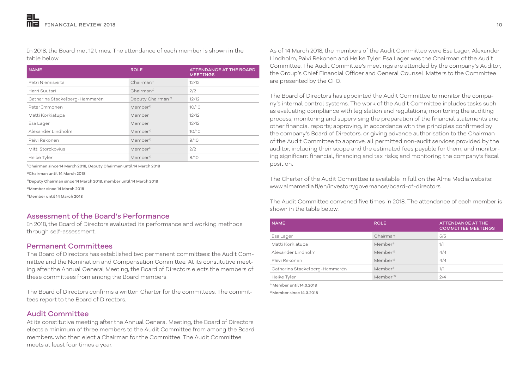In 2018, the Board met 12 times. The attendance of each member is shown in the table below.

| <b>NAME</b>                    | <b>ROLE</b>                   | <b>ATTENDANCE AT THE BOARD</b><br><b>MEETINGS</b> |
|--------------------------------|-------------------------------|---------------------------------------------------|
| Petri Niemisvirta              | Chairman <sup>1)</sup>        | 12/12                                             |
| Harri Suutari                  | Chairman <sup>2</sup>         | 2/2                                               |
| Catharina Stackelberg-Hammarén | Deputy Chairman <sup>3)</sup> | 12/12                                             |
| Peter Immonen                  | Member <sup>4)</sup>          | 10/10                                             |
| Matti Korkiatupa               | Member                        | 12/12                                             |
| Esa Lager                      | Member                        | 12/12                                             |
| Alexander Lindholm             | Member <sup>4)</sup>          | 10/10                                             |
| Päivi Rekonen                  | Member <sup>4)</sup>          | 9/10                                              |
| Mitti Storckovius              | Member <sup>5)</sup>          | 2/2                                               |
| Heike Tyler                    | Member <sup>4)</sup>          | 8/10                                              |

1)Chairman since 14 March 2018, Deputy Chairman until 14 March 2018

2)Chairman until 14 March 2018

3)Deputy Chairman since 14 March 2018, member until 14 March 2018

4)Member since 14 March 2018

5)Member until 14 March 2018

# Assessment of the Board's Performance

In 2018, the Board of Directors evaluated its performance and working methods through self-assessment.

### Permanent Committees

The Board of Directors has established two permanent committees: the Audit Committee and the Nomination and Compensation Committee. At its constitutive meeting after the Annual General Meeting, the Board of Directors elects the members of these committees from among the Board members.

The Board of Directors confirms a written Charter for the committees. The committees report to the Board of Directors.

# Audit Committee

At its constitutive meeting after the Annual General Meeting, the Board of Directors elects a minimum of three members to the Audit Committee from among the Board members, who then elect a Chairman for the Committee. The Audit Committee meets at least four times a year.

As of 14 March 2018, the members of the Audit Committee were Esa Lager, Alexander Lindholm, Päivi Rekonen and Heike Tyler. Esa Lager was the Chairman of the Audit Committee. The Audit Committee's meetings are attended by the company's Auditor, the Group's Chief Financial Officer and General Counsel. Matters to the Committee are presented by the CFO.

The Board of Directors has appointed the Audit Committee to monitor the company's internal control systems. The work of the Audit Committee includes tasks such as evaluating compliance with legislation and regulations; monitoring the auditing process; monitoring and supervising the preparation of the financial statements and other financial reports; approving, in accordance with the principles confirmed by the company's Board of Directors, or giving advance authorisation to the Chairman of the Audit Committee to approve, all permitted non-audit services provided by the auditor, including their scope and the estimated fees payable for them; and monitoring significant financial, financing and tax risks; and monitoring the company's fiscal position.

The Charter of the Audit Committee is available in full on the Alma Media website: www.almamedia.fi/en/investors/governance/board-of-directors

The Audit Committee convened five times in 2018. The attendance of each member is shown in the table below.

| <b>NAME</b>                    | <b>ROLE</b>          | <b>ATTENDANCE AT THE</b><br><b>COMMITTEE MEETINGS</b> |
|--------------------------------|----------------------|-------------------------------------------------------|
| Esa Lager                      | Chairman             | 5/5                                                   |
| Matti Korkiatupa               | Member <sup>1)</sup> | 1/1                                                   |
| Alexander Lindholm             | Member <sup>2)</sup> | 4/4                                                   |
| Päivi Rekonen                  | Member <sup>2)</sup> | 4/4                                                   |
| Catharina Stackelberg-Hammarén | Member <sup>1)</sup> | 1/1                                                   |
| Heike Tyler                    | Member <sup>2)</sup> | 2/4                                                   |

1) Member until 14.3.2018

2) Member since 14.3.2018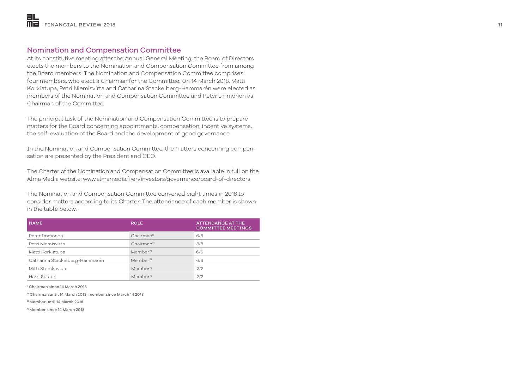# Nomination and Compensation Committee

At its constitutive meeting after the Annual General Meeting, the Board of Directors elects the members to the Nomination and Compensation Committee from among the Board members. The Nomination and Compensation Committee comprises four members, who elect a Chairman for the Committee. On 14 March 2018, Matti Korkiatupa, Petri Niemisvirta and Catharina Stackelberg-Hammarén were elected as members of the Nomination and Compensation Committee and Peter Immonen as Chairman of the Committee.

The principal task of the Nomination and Compensation Committee is to prepare matters for the Board concerning appointments, compensation, incentive systems, the self-evaluation of the Board and the development of good governance.

In the Nomination and Compensation Committee, the matters concerning compensation are presented by the President and CEO.

The Charter of the Nomination and Compensation Committee is available in full on the Alma Media website: www.almamedia.fi/en/investors/governance/board-of-directors

The Nomination and Compensation Committee convened eight times in 2018 to consider matters according to its Charter. The attendance of each member is shown in the table below.

| <b>NAME</b>                    | <b>ROLE</b>            | <b>ATTENDANCE AT THE</b><br><b>COMMITTEE MEETINGS</b> |
|--------------------------------|------------------------|-------------------------------------------------------|
| Peter Immonen                  | Chairman <sup>1</sup>  | 6/6                                                   |
| Petri Niemisvirta              | Chairman <sup>2)</sup> | 8/8                                                   |
| Matti Korkiatupa               | Member <sup>3)</sup>   | 6/6                                                   |
| Catharina Stackelberg-Hammarén | Member <sup>3)</sup>   | 6/6                                                   |
| Mitti Storckovius              | Member <sup>4)</sup>   | 2/2                                                   |
| Harri Suutari                  | Member <sup>4)</sup>   | 2/2                                                   |

1) Chairman since 14 March 2018

2) Chairman until 14 March 2018, member since March 14 2018

3) Member until 14 March 2018

4) Member since 14 March 2018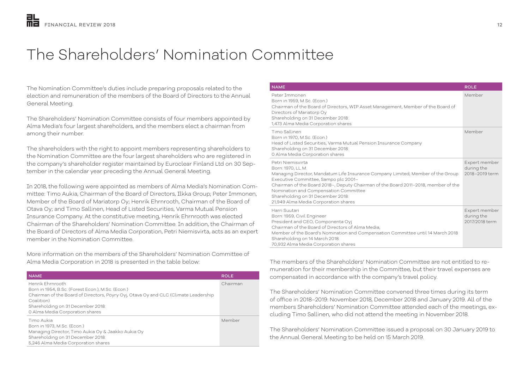# The Shareholders' Nomination Committee

The Nomination Committee's duties include preparing proposals related to the election and remuneration of the members of the Board of Directors to the Annual General Meeting.

The Shareholders' Nomination Committee consists of four members appointed by Alma Media's four largest shareholders, and the members elect a chairman from among their number.

The shareholders with the right to appoint members representing shareholders to the Nomination Committee are the four largest shareholders who are registered in the company's shareholder register maintained by Euroclear Finland Ltd on 30 September in the calendar year preceding the Annual General Meeting.

In 2018, the following were appointed as members of Alma Media's Nomination Committee: Timo Aukia, Chairman of the Board of Directors, Ilkka Group; Peter Immonen, Member of the Board of Mariatorp Oy; Henrik Ehrnrooth, Chairman of the Board of Otava Oy; and Timo Sallinen, Head of Listed Securities, Varma Mutual Pension Insurance Company. At the constitutive meeting, Henrik Ehrnrooth was elected Chairman of the Shareholders' Nomination Committee. In addition, the Chairman of the Board of Directors of Alma Media Corporation, Petri Niemisvirta, acts as an expert member in the Nomination Committee.

More information on the members of the Shareholders' Nomination Committee of Alma Media Corporation in 2018 is presented in the table below:

| <b>NAME</b>                                                                                                                                                                                                                                        | <b>ROLE</b> |
|----------------------------------------------------------------------------------------------------------------------------------------------------------------------------------------------------------------------------------------------------|-------------|
| Henrik Ehrnrooth<br>Born in 1954, B.Sc. (Forest Econ.), M.Sc. (Econ.)<br>Chairman of the Board of Directors, Pöyry Oyj, Otava Oy and CLC (Climate Leadership<br>Coalition)<br>Shareholding on 31 December 2018:<br>0 Alma Media Corporation shares | Chairman    |
| Timo Aukia<br>Born in 1973, M.Sc. (Econ.)<br>Managing Director, Timo Aukia Oy & Jaakko Aukia Oy<br>Shareholding on 31 December 2018:<br>5,246 Alma Media Corporation shares                                                                        | Member      |

| <b>NAME</b>                                                                                                                                                                                                                                                                                                                                                                   | <b>ROLE</b>                                   |
|-------------------------------------------------------------------------------------------------------------------------------------------------------------------------------------------------------------------------------------------------------------------------------------------------------------------------------------------------------------------------------|-----------------------------------------------|
| Peter Immonen<br>Born in 1959, M.Sc. (Econ.)<br>Chairman of the Board of Directors, WIP Asset Management, Member of the Board of<br>Directors of Mariatorp Oy<br>Shareholding on 31 December 2018:<br>1,473 Alma Media Corporation shares                                                                                                                                     | Member                                        |
| Timo Sallinen<br>Born in 1970, M.Sc. (Econ.)<br>Head of Listed Securities, Varma Mutual Pension Insurance Company<br>Shareholding on 31 December 2018:<br>0 Alma Media Corporation shares                                                                                                                                                                                     | Member                                        |
| Petri Niemisvirta<br>Born: 1970, LL.M.<br>Managing Director, Mandatum Life Insurance Company Limited; Member of the Group<br>Executive Committee, Sampo plc 2001-<br>Chairman of the Board 2018-, Deputy Chairman of the Board 2011-2018, member of the<br>Nomination and Compensation Committee<br>Shareholding on 31 December 2018:<br>21,949 Alma Media Corporation shares | Expert member<br>during the<br>2018-2019 term |
| Harri Suutari<br>Born: 1959, Civil Engineer<br>President and CEO, Componenta Oyj<br>Chairman of the Board of Directors of Alma Media,<br>Member of the Board's Nomination and Compensation Committee until 14 March 2018<br>Shareholding on 14 March 2018:<br>70,932 Alma Media Corporation shares                                                                            | Expert member<br>during the<br>2017/2018 term |

The members of the Shareholders' Nomination Committee are not entitled to remuneration for their membership in the Committee, but their travel expenses are compensated in accordance with the company's travel policy.

The Shareholders' Nomination Committee convened three times during its term of office in 2018–2019: November 2018, December 2018 and January 2019. All of the members Shareholders' Nomination Committee attended each of the meetings, excluding Timo Sallinen, who did not attend the meeting in November 2018.

The Shareholders' Nomination Committee issued a proposal on 30 January 2019 to the Annual General Meeting to be held on 15 March 2019.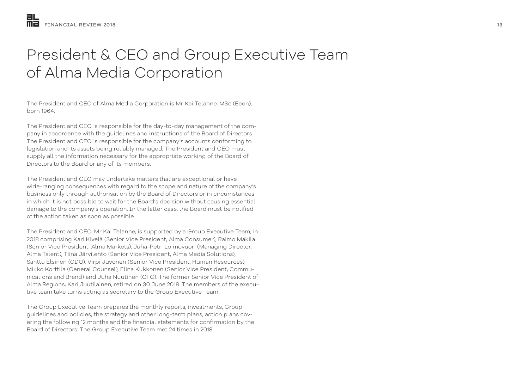# President & CEO and Group Executive Team of Alma Media Corporation

The President and CEO of Alma Media Corporation is Mr Kai Telanne, MSc (Econ), born 1964.

The President and CEO is responsible for the day-to-day management of the company in accordance with the guidelines and instructions of the Board of Directors. The President and CEO is responsible for the company's accounts conforming to legislation and its assets being reliably managed. The President and CEO must supply all the information necessary for the appropriate working of the Board of Directors to the Board or any of its members.

The President and CEO may undertake matters that are exceptional or have wide-ranging consequences with regard to the scope and nature of the company's business only through authorisation by the Board of Directors or in circumstances in which it is not possible to wait for the Board's decision without causing essential damage to the company's operation. In the latter case, the Board must be notified of the action taken as soon as possible.

The President and CEO, Mr Kai Telanne, is supported by a Group Executive Team, in 2018 comprising Kari Kivelä (Senior Vice President, Alma Consumer), Raimo Mäkilä (Senior Vice President, Alma Markets), Juha-Petri Loimovuori (Managing Director, Alma Talent), Tiina Järvilehto (Senior Vice President, Alma Media Solutions), Santtu Elsinen (CDO), Virpi Juvonen (Senior Vice President, Human Resources), Mikko Korttila (General Counsel), Elina Kukkonen (Senior Vice President, Communications and Brand) and Juha Nuutinen (CFO). The former Senior Vice President of Alma Regions, Kari Juutilainen, retired on 30 June 2018. The members of the executive team take turns acting as secretary to the Group Executive Team.

The Group Executive Team prepares the monthly reports, investments, Group guidelines and policies, the strategy and other long-term plans, action plans covering the following 12 months and the financial statements for confirmation by the Board of Directors. The Group Executive Team met 24 times in 2018.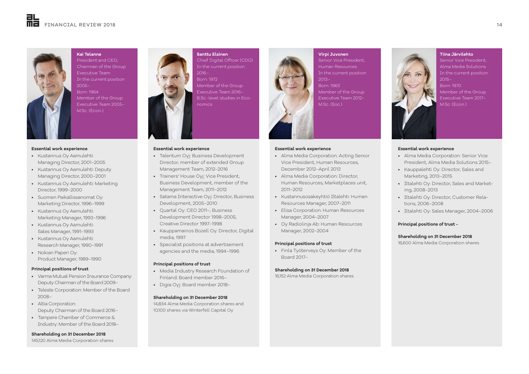

**Kai Telanne** President and CEO, Chairman of the Group Executive Team In the current position 2005– Born: 1964 Member of the Group Executive Team 2005– M.Sc. (Econ.)

#### **Essential work experience**

- Kustannus Oy Aamulehti: Managing Director, 2001–2005
- Kustannus Oy Aamulehti: Deputy Managing Director, 2000–2001
- Kustannus Oy Aamulehti: Marketing Director, 1999–2000
- Suomen Paikallissanomat Oy: Marketing Director, 1996–1999
- Kustannus Oy Aamulehti: Marketing Manager, 1993–1996
- Kustannus Oy Aamulehti: Sales Manager, 1991–1993
- Kustannus Oy Aamulehti: Research Manager, 1990–1991
- Nokian Paperi Oy: Product Manager, 1989–1990

#### **Principal positions of trust**

- Varma Mutual Pension Insurance Company: Deputy Chairman of the Board 2009–
- Teleste Corporation: Member of the Board 2008–
- Altia Corporation: Deputy Chairman of the Board 2016–
- Tampere Chamber of Commerce & Industry: Member of the Board 2018–

#### **Shareholding on 31 December 2018**

145,120 Alma Media Corporation shares



#### **Essential work experience**

- Talentum Oyj: Business Development Director, member of extended Group Management Team, 2012–2016
- Trainers' House Oyj: Vice President, Business Development, member of the Management Team, 2011–2012
- Satama Interactive Oyj: Director, Business Development, 2005–2010
- Quartal Oy: CEO 2011–, Business Development Director 1998–2005, Creative Director 1997–1998
- Kauppamainos Bozell Oy: Director, Digital media, 1997
- Specialist positions at advertisement agencies and the media, 1994–1996

#### **Principal positions of trust**

- Media Industry Research Foundation of Finland: Board member 2016–
- Digia Oyj: Board member 2018–

#### **Shareholding on 31 December 2018**

14,834 Alma Media Corporation shares and 10,100 shares via Winterfell Capital Oy

#### **Essential work experience**

• Alma Media Corporation: Acting Senior Vice President, Human Resources, December 2012–April 2013

**Virpi Juvonen** Senior Vice President, Human Resources In the current position

Member of the Group Executive Team 2012– M.Sc. (Soc.)

2013– Born: 1963

- Alma Media Corporation: Director, Human Resources, Marketplaces unit, 2011–2012
- Kustannusosakeyhtiö Iltalehti: Human Resources Manager, 2007–2011
- Elisa Corporation: Human Resources Manager, 2004–2007
- Oy Radiolinja Ab: Human Resources Manager, 2002–2004

#### **Principal positions of trust**

• Finla Työterveys Oy: Member of the Board 2017–

#### **Shareholding on 31 December 2018**

16,152 Alma Media Corporation shares



**Tiina Järvilehto**  Senior Vice President,



Born: 1970 Member of the Group Executive Team 2017– M.Sc. (Econ.)

#### **Essential work experience**

- Alma Media Corporation: Senior Vice President, Alma Media Solutions 2015–
- Kauppalehti Oy: Director, Sales and Marketing, 2013–2015
- Iltalehti Oy: Director, Sales and Marketing, 2008–2013
- Iltalehti Oy: Director, Customer Relations, 2006–2008
- Iltalehti Oy: Sales Manager, 2004–2006

#### **Principal positions of trust -**

#### **Shareholding on 31 December 2018**

16,600 Alma Media Corporation shares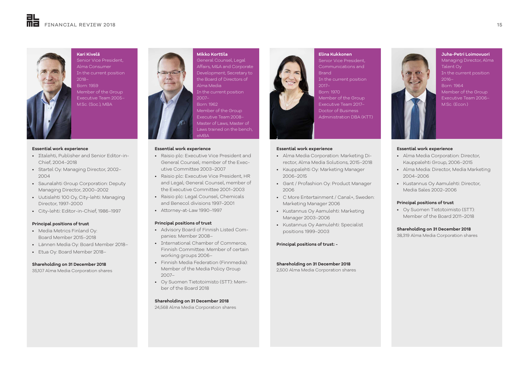

**Kari Kivelä**  Senior Vice President, Alma Consumer In the current position 2018– Born: 1959 Member of the Group Executive Team 2005–

M.Sc. (Soc.), MBA

#### **Essential work experience**

- Iltalehti, Publisher and Senior Editor-in-Chief, 2004–2018
- Startel Oy: Managing Director, 2002– 2004
- Saunalahti Group Corporation: Deputy Managing Director, 2000–2002
- Uutislehti 100 Oy, City-lehti: Managing Director, 1997–2000
- City-lehti: Editor-in-Chief, 1986–1997

#### **Principal positions of trust**

- Media Metrics Finland Oy: Board Member 2015–2018
- Lännen Media Oy: Board Member 2018–
- Etua Oy: Board Member 2018–

#### **Shareholding on 31 December 2018**

35,107 Alma Media Corporation shares



### **Mikko Korttila**  General Counsel, Legal

Affairs, M&A and Corporate Development; Secretary to the Board of Directors of Alma Media In the current position 2007– Born: 1962

Member of the Group Executive Team 2008– Master of Laws, Master of Laws trained on the bench,

#### **Essential work experience**

• Raisio plc: Executive Vice President and General Counsel; member of the Executive Committee 2003–2007

eMBA

- Raisio plc: Executive Vice President, HR and Legal; General Counsel, member of the Executive Committee 2001–2003
- Raisio plc: Legal Counsel, Chemicals and Benecol divisions 1997–2001
- Attorney-at-Law 1990–1997

#### **Principal positions of trust**

- Advisory Board of Finnish Listed Companies: Member 2008–
- International Chamber of Commerce, Finnish Committee: Member of certain working groups 2006–
- Finnish Media Federation (Finnmedia): Member of the Media Policy Group 2007–
- Oy Suomen Tietotoimisto (STT): Member of the Board 2018

#### **Shareholding on 31 December 2018**

24,568 Alma Media Corporation shares



#### Senior Vice President, Communications and Brand

- In the current position 2017–
- Born: 1970 Member of the Group Executive Team 2017– Doctor of Business Administration DBA (KTT)

#### **Essential work experience**

- Alma Media Corporation: Marketing Director, Alma Media Solutions, 2015–2018
- Kauppalehti Oy: Marketing Manager 2006–2015
- Gant / Profashion Oy: Product Manager 2006
- C More Entertainment / Canal+, Sweden: Marketing Manager 2006
- Kustannus Oy Aamulehti: Marketing Manager 2003–2006
- Kustannus Oy Aamulehti: Specialist positions 1999–2003

#### **Principal positions of trust: -**

#### **Shareholding on 31 December 2018**

2,500 Alma Media Corporation shares



#### **Essential work experience**

- Alma Media Corporation: Director, Kauppalehti Group, 2006–2015
- Alma Media: Director, Media Marketing 2004–2006
- Kustannus Oy Aamulehti: Director, Media Sales 2002–2006

#### **Principal positions of trust**

• Oy Suomen Tietotoimisto (STT): Member of the Board 2011–2018

#### **Shareholding on 31 December 2018**

38,319 Alma Media Corporation shares

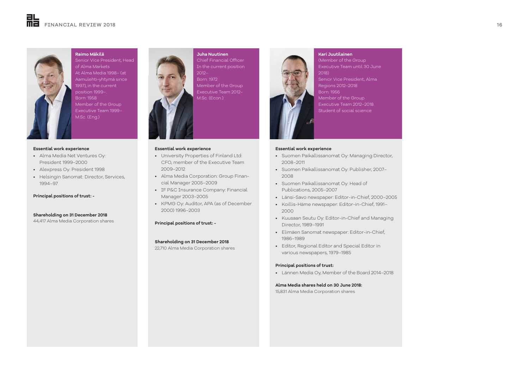

**Raimo Mäkilä**  Senior Vice President, Head of Alma Markets At Alma Media 1998– (at Aamulehti-yhtymä since 1997), in the current position 1999–. Born: 1958 Member of the Group Executive Team 1999– M.Sc. (Eng.)

#### **Essential work experience**

- Alma Media Net Ventures Oy: President 1999–2000
- Alexpress Oy: President 1998
- Helsingin Sanomat: Director, Services, 1994–97

**Principal positions of trust: -**

**Shareholding on 31 December 2018**

44,417 Alma Media Corporation shares



#### **Essential work experience**

- University Properties of Finland Ltd: CFO, member of the Executive Team 2009–2012
- Alma Media Corporation: Group Financial Manager 2005–2009
- IF P&C Insurance Company: Financial Manager 2003–2005
- KPMG Oy: Auditor, APA (as of December 2000) 1996–2003

#### **Principal positions of trust: -**

#### **Shareholding on 31 December 2018**

22,710 Alma Media Corporation shares



### **Kari Juutilainen** (Member of the Group

Executive Team until 30 June 2018)

Senior Vice President, Alma Regions 2012–2018 Member of the Group

Executive Team 2012–2018 Student of social science

#### **Essential work experience**

- Suomen Paikallissanomat Oy: Managing Director, 2008–2011
- Suomen Paikallissanomat Oy: Publisher, 2007– 2008
- Suomen Paikallissanomat Oy: Head of Publications, 2005–2007
- Länsi-Savo newspaper: Editor-in-Chief, 2000–2005
- Koillis-Häme newspaper: Editor-in-Chief, 1991– 2000
- Kuusaan Seutu Oy: Editor-in-Chief and Managing Director, 1989–1991
- Elimäen Sanomat newspaper: Editor-in-Chief, 1986–1989
- Editor, Regional Editor and Special Editor in various newspapers, 1979–1985

#### **Principal positions of trust:**

• Lännen Media Oy, Member of the Board 2014–2018

#### **Alma Media shares held on 30 June 2018:**

15,831 Alma Media Corporation shares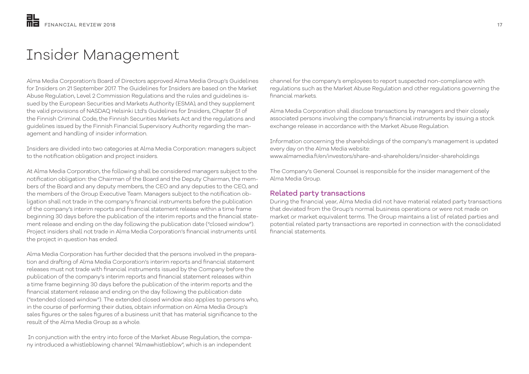# Insider Management

Alma Media Corporation's Board of Directors approved Alma Media Group's Guidelines for Insiders on 21 September 2017. The Guidelines for Insiders are based on the Market Abuse Regulation, Level 2 Commission Regulations and the rules and guidelines issued by the European Securities and Markets Authority (ESMA), and they supplement the valid provisions of NASDAQ Helsinki Ltd's Guidelines for Insiders, Chapter 51 of the Finnish Criminal Code, the Finnish Securities Markets Act and the regulations and guidelines issued by the Finnish Financial Supervisory Authority regarding the management and handling of insider information.

Insiders are divided into two categories at Alma Media Corporation: managers subject to the notification obligation and project insiders.

At Alma Media Corporation, the following shall be considered managers subject to the notification obligation: the Chairman of the Board and the Deputy Chairman, the members of the Board and any deputy members, the CEO and any deputies to the CEO, and the members of the Group Executive Team. Managers subject to the notification obligation shall not trade in the company's financial instruments before the publication of the company's interim reports and financial statement release within a time frame beginning 30 days before the publication of the interim reports and the financial statement release and ending on the day following the publication date ("closed window"). Project insiders shall not trade in Alma Media Corporation's financial instruments until the project in question has ended.

Alma Media Corporation has further decided that the persons involved in the preparation and drafting of Alma Media Corporation's interim reports and financial statement releases must not trade with financial instruments issued by the Company before the publication of the company's interim reports and financial statement releases within a time frame beginning 30 days before the publication of the interim reports and the financial statement release and ending on the day following the publication date ("extended closed window"). The extended closed window also applies to persons who, in the course of performing their duties, obtain information on Alma Media Group's sales figures or the sales figures of a business unit that has material significance to the result of the Alma Media Group as a whole.

 In conjunction with the entry into force of the Market Abuse Regulation, the company introduced a whistleblowing channel "Almawhistleblow", which is an independent

channel for the company's employees to report suspected non-compliance with regulations such as the Market Abuse Regulation and other regulations governing the financial markets.

Alma Media Corporation shall disclose transactions by managers and their closely associated persons involving the company's financial instruments by issuing a stock exchange release in accordance with the Market Abuse Regulation.

Information concerning the shareholdings of the company's management is updated every day on the Alma Media website: www.almamedia.fi/en/investors/share-and-shareholders/insider-shareholdings

The Company's General Counsel is responsible for the insider management of the Alma Media Group.

## Related party transactions

During the financial year, Alma Media did not have material related party transactions that deviated from the Group's normal business operations or were not made on market or market equivalent terms. The Group maintains a list of related parties and potential related party transactions are reported in connection with the consolidated financial statements.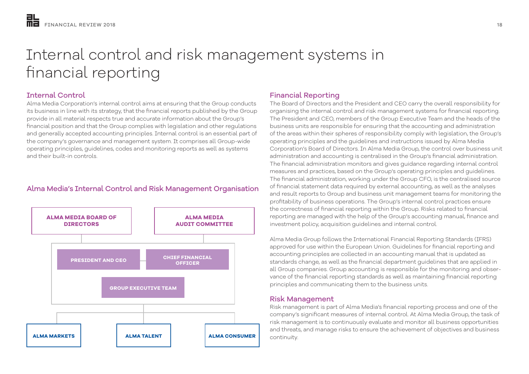# Internal control and risk management systems in financial reporting

# Internal Control

Alma Media Corporation's internal control aims at ensuring that the Group conducts its business in line with its strategy, that the financial reports published by the Group provide in all material respects true and accurate information about the Group's financial position and that the Group complies with legislation and other regulations and generally accepted accounting principles. Internal control is an essential part of the company's governance and management system. It comprises all Group-wide operating principles, guidelines, codes and monitoring reports as well as systems and their built-in controls.

# Alma Media's Internal Control and Risk Management Organisation



# Financial Reporting

The Board of Directors and the President and CEO carry the overall responsibility for organising the internal control and risk management systems for financial reporting. The President and CEO, members of the Group Executive Team and the heads of the business units are responsible for ensuring that the accounting and administration of the areas within their spheres of responsibility comply with legislation, the Group's operating principles and the guidelines and instructions issued by Alma Media Corporation's Board of Directors. In Alma Media Group, the control over business unit administration and accounting is centralised in the Group's financial administration. The financial administration monitors and gives guidance regarding internal control measures and practices, based on the Group's operating principles and guidelines. The financial administration, working under the Group CFO, is the centralised source of financial statement data required by external accounting, as well as the analyses and result reports to Group and business unit management teams for monitoring the profitability of business operations. The Group's internal control practices ensure the correctness of financial reporting within the Group. Risks related to financial reporting are managed with the help of the Group's accounting manual, finance and investment policy, acquisition guidelines and internal control.

Alma Media Group follows the International Financial Reporting Standards (IFRS) approved for use within the European Union. Guidelines for financial reporting and accounting principles are collected in an accounting manual that is updated as standards change, as well as the financial department guidelines that are applied in all Group companies. Group accounting is responsible for the monitoring and observance of the financial reporting standards as well as maintaining financial reporting principles and communicating them to the business units.

# Risk Management

Risk management is part of Alma Media's financial reporting process and one of the company's significant measures of internal control. At Alma Media Group, the task of risk management is to continuously evaluate and monitor all business opportunities and threats, and manage risks to ensure the achievement of objectives and business continuity.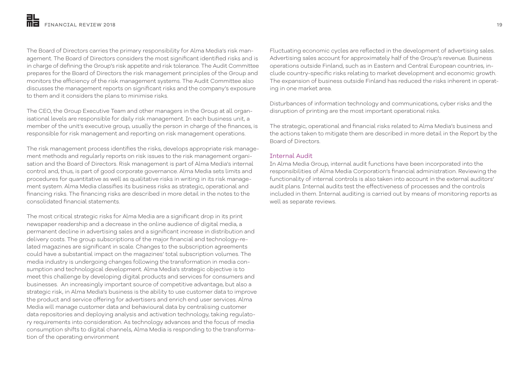The Board of Directors carries the primary responsibility for Alma Media's risk management. The Board of Directors considers the most significant identified risks and is in charge of defining the Group's risk appetite and risk tolerance. The Audit Committee prepares for the Board of Directors the risk management principles of the Group and monitors the efficiency of the risk management systems. The Audit Committee also discusses the management reports on significant risks and the company's exposure to them and it considers the plans to minimise risks.

The CEO, the Group Executive Team and other managers in the Group at all organisational levels are responsible for daily risk management. In each business unit, a member of the unit's executive group, usually the person in charge of the finances, is responsible for risk management and reporting on risk management operations.

The risk management process identifies the risks, develops appropriate risk management methods and regularly reports on risk issues to the risk management organisation and the Board of Directors. Risk management is part of Alma Media's internal control and, thus, is part of good corporate governance. Alma Media sets limits and procedures for quantitative as well as qualitative risks in writing in its risk management system. Alma Media classifies its business risks as strategic, operational and financing risks. The financing risks are described in more detail in the notes to the consolidated financial statements.

The most critical strategic risks for Alma Media are a significant drop in its print newspaper readership and a decrease in the online audience of digital media, a permanent decline in advertising sales and a significant increase in distribution and delivery costs. The group subscriptions of the major financial and technology-related magazines are significant in scale. Changes to the subscription agreements could have a substantial impact on the magazines' total subscription volumes. The media industry is undergoing changes following the transformation in media consumption and technological development. Alma Media's strategic objective is to meet this challenge by developing digital products and services for consumers and businesses. An increasingly important source of competitive advantage, but also a strategic risk, in Alma Media's business is the ability to use customer data to improve the product and service offering for advertisers and enrich end user services. Alma Media will manage customer data and behavioural data by centralising customer data repositories and deploying analysis and activation technology, taking regulatory requirements into consideration. As technology advances and the focus of media consumption shifts to digital channels, Alma Media is responding to the transformation of the operating environment

Fluctuating economic cycles are reflected in the development of advertising sales. Advertising sales account for approximately half of the Group's revenue. Business operations outside Finland, such as in Eastern and Central European countries, include country-specific risks relating to market development and economic growth. The expansion of business outside Finland has reduced the risks inherent in operating in one market area.

Disturbances of information technology and communications, cyber risks and the disruption of printing are the most important operational risks.

The strategic, operational and financial risks related to Alma Media's business and the actions taken to mitigate them are described in more detail in the Report by the Board of Directors.

### Internal Audit

In Alma Media Group, internal audit functions have been incorporated into the responsibilities of Alma Media Corporation's financial administration. Reviewing the functionality of internal controls is also taken into account in the external auditors' audit plans. Internal audits test the effectiveness of processes and the controls included in them. Internal auditing is carried out by means of monitoring reports as well as separate reviews.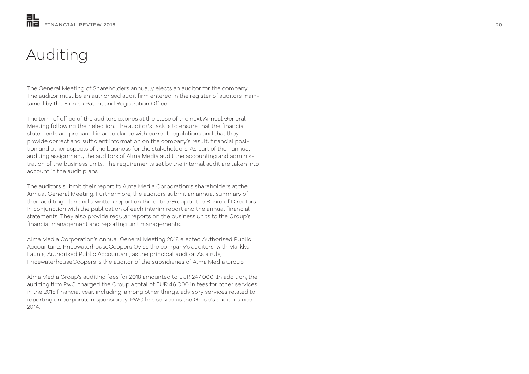# Auditing

The General Meeting of Shareholders annually elects an auditor for the company. The auditor must be an authorised audit firm entered in the register of auditors main tained by the Finnish Patent and Registration Office.

The term of office of the auditors expires at the close of the next Annual General Meeting following their election. The auditor's task is to ensure that the financial statements are prepared in accordance with current regulations and that they provide correct and sufficient information on the company's result, financial posi tion and other aspects of the business for the stakeholders. As part of their annual auditing assignment, the auditors of Alma Media audit the accounting and adminis tration of the business units. The requirements set by the internal audit are taken into account in the audit plans.

The auditors submit their report to Alma Media Corporation's shareholders at the Annual General Meeting. Furthermore, the auditors submit an annual summary of their auditing plan and a written report on the entire Group to the Board of Directors in conjunction with the publication of each interim report and the annual financial statements. They also provide regular reports on the business units to the Group's financial management and reporting unit managements.

Alma Media Corporation's Annual General Meeting 2018 elected Authorised Public Accountants PricewaterhouseCoopers Oy as the company's auditors, with Markku Launis, Authorised Public Accountant, as the principal auditor. As a rule, PricewaterhouseCoopers is the auditor of the subsidiaries of Alma Media Group.

Alma Media Group's auditing fees for 2018 amounted to EUR 247 000. In addition, the auditing firm PwC charged the Group a total of EUR 46 000 in fees for other services in the 2018 financial year, including, among other things, advisory services related to reporting on corporate responsibility. PWC has served as the Group's auditor since 2014.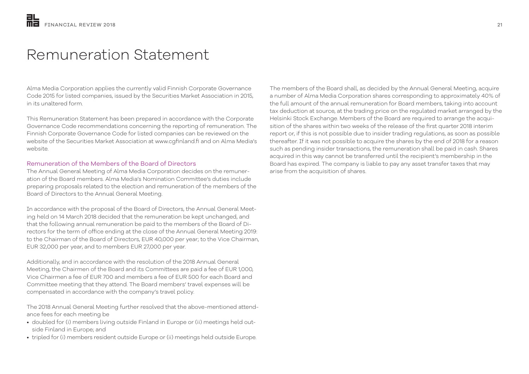# Remuneration Statement

Alma Media Corporation applies the currently valid Finnish Corporate Governance Code 2015 for listed companies, issued by the Securities Market Association in 2015, in its unaltered form.

This Remuneration Statement has been prepared in accordance with the Corporate Governance Code recommendations concerning the reporting of remuneration. The Finnish Corporate Governance Code for listed companies can be reviewed on the website of the Securities Market Association at www.cgfinland.fi and on Alma Media's website.

### Remuneration of the Members of the Board of Directors

The Annual General Meeting of Alma Media Corporation decides on the remuneration of the Board members. Alma Media's Nomination Committee's duties include preparing proposals related to the election and remuneration of the members of the Board of Directors to the Annual General Meeting.

In accordance with the proposal of the Board of Directors, the Annual General Meeting held on 14 March 2018 decided that the remuneration be kept unchanged, and that the following annual remuneration be paid to the members of the Board of Directors for the term of office ending at the close of the Annual General Meeting 2019: to the Chairman of the Board of Directors, EUR 40,000 per year; to the Vice Chairman, EUR 32,000 per year, and to members EUR 27,000 per year.

Additionally, and in accordance with the resolution of the 2018 Annual General Meeting, the Chairmen of the Board and its Committees are paid a fee of EUR 1,000, Vice Chairmen a fee of EUR 700 and members a fee of EUR 500 for each Board and Committee meeting that they attend. The Board members' travel expenses will be compensated in accordance with the company's travel policy.

The 2018 Annual General Meeting further resolved that the above-mentioned attendance fees for each meeting be

- doubled for (i) members living outside Finland in Europe or (ii) meetings held outside Finland in Europe; and
- tripled for (i) members resident outside Europe or (ii) meetings held outside Europe.

The members of the Board shall, as decided by the Annual General Meeting, acquire a number of Alma Media Corporation shares corresponding to approximately 40% of the full amount of the annual remuneration for Board members, taking into account tax deduction at source, at the trading price on the regulated market arranged by the Helsinki Stock Exchange. Members of the Board are required to arrange the acquisition of the shares within two weeks of the release of the first quarter 2018 interim report or, if this is not possible due to insider trading regulations, as soon as possible thereafter. If it was not possible to acquire the shares by the end of 2018 for a reason such as pending insider transactions, the remuneration shall be paid in cash. Shares acquired in this way cannot be transferred until the recipient's membership in the Board has expired. The company is liable to pay any asset transfer taxes that may arise from the acquisition of shares.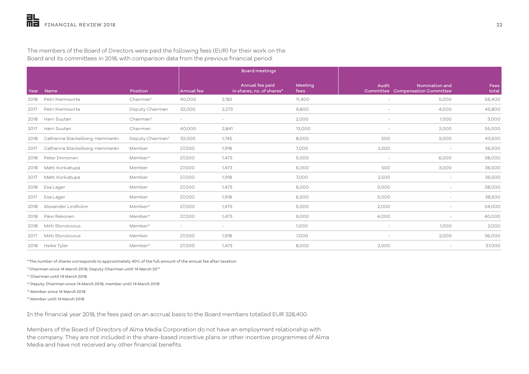|      |                                |                              |                          | <b>Board meetings</b>                        |                 |                          |                                                    |               |
|------|--------------------------------|------------------------------|--------------------------|----------------------------------------------|-----------------|--------------------------|----------------------------------------------------|---------------|
| Year | Name                           | Position                     | <b>Annual</b> fee        | Annual fee paid<br>in shares, no. of shares* | Meeting<br>fees | Audit                    | Nomination and<br>Committee Compensation Committee | Fees<br>total |
| 2018 | Petri Niemisvirta              | Chairman <sup>1</sup>        | 40,000                   | 2,182                                        | 11,400          | $\overline{\phantom{a}}$ | 5,000                                              | 56,400        |
| 2017 | Petri Niemisvirta              | Deputy Chairman              | 32,000                   | 2,273                                        | 9,800           |                          | 4,000                                              | 45,800        |
| 2018 | Harri Suutari                  | Chairman <sup>2</sup>        | $\overline{\phantom{a}}$ | $\overline{\phantom{a}}$                     | 2,000           |                          | 1,000                                              | 3,000         |
| 2017 | Harri Suutari                  | Chairman                     | 40,000                   | 2,841                                        | 13,000          |                          | 2,000                                              | 55,000        |
| 2018 | Catharina Stackelberg-Hammarén | Deputy Chairman <sup>3</sup> | 32,000                   | 1,745                                        | 8,000           | 500                      | 3,000                                              | 43,500        |
| 2017 | Catharina Stackelberg-Hammarén | Member                       | 27,000                   | 1,918                                        | 7,000           | 2,500                    | $\overline{\phantom{a}}$                           | 36,500        |
| 2018 | Peter Immonen                  | Member <sup>4</sup>          | 27,000                   | 1,473                                        | 5,000           | $\overline{\phantom{0}}$ | 6,000                                              | 38,000        |
| 2018 | Matti Korkiatupa               | Member                       | 27,000                   | 1,473                                        | 6,000           | 500                      | 3,000                                              | 36,500        |
| 2017 | Matti Korkiatupa               | Member                       | 27,000                   | 1,918                                        | 7,000           | 2,500                    | $\overline{\phantom{a}}$                           | 36,500        |
| 2018 | Esa Lager                      | Member                       | 27,000                   | 1,473                                        | 6,000           | 5,000                    | $\overline{\phantom{a}}$                           | 38,000        |
| 2017 | Esa Lager                      | Member                       | 27,000                   | 1,918                                        | 6,500           | 5,000                    | $\overline{\phantom{a}}$                           | 38,500        |
| 2018 | Alexander Lindholm             | Member <sup>4</sup>          | 27,000                   | 1,473                                        | 5,000           | 2,000                    | $\overline{\phantom{a}}$                           | 34,000        |
| 2018 | Päivi Rekonen                  | Member <sup>4</sup>          | 27,000                   | 1,473                                        | 9,000           | 4,000                    |                                                    | 40,000        |
| 2018 | Mitti Storckovius              | Member <sup>5</sup>          | $\overline{\phantom{a}}$ | $\overline{\phantom{a}}$                     | 1,000           | $\overline{\phantom{0}}$ | 1,000                                              | 2,000         |
| 2017 | Mitti Storckovius              | Member                       | 27,000                   | 1,918                                        | 7,000           |                          | 2,000                                              | 36,000        |
| 2018 | Heike Tyler                    | Member <sup>4</sup>          | 27,000                   | 1,473                                        | 8,000           | 2,000                    | $\overline{\phantom{a}}$                           | 37,000        |

The members of the Board of Directors were paid the following fees (EUR) for their work on the Board and its committees in 2018, with comparison data from the previous financial period:

\*The number of shares corresponds to approximately 40% of the full amount of the annual fee after taxation

<sup>1)</sup> Chairman since 14 March 2018, Deputy Chairman until 14 March 20<sup>18</sup>

2) Chairman until 14 March 2018

3) Deputy Chairman since 14 March 2018, member until 14 March 2018

4) Member since 14 March 2018

5) Member until 14 March 2018

In the financial year 2018, the fees paid on an accrual basis to the Board members totalled EUR 328,400.

Members of the Board of Directors of Alma Media Corporation do not have an employment relationship with the company. They are not included in the share-based incentive plans or other incentive programmes of Alma Media and have not received any other financial benefits.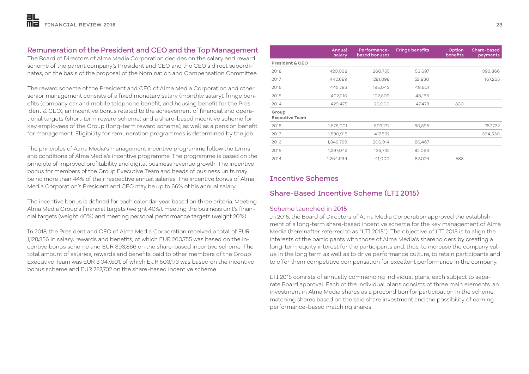# Remuneration of the President and CEO and the Top Management

The Board of Directors of Alma Media Corporation decides on the salary and reward scheme of the parent company's President and CEO and the CEO's direct subordinates, on the basis of the proposal of the Nomination and Compensation Committee.

The reward scheme of the President and CEO of Alma Media Corporation and other senior management consists of a fixed monetary salary (monthly salary), fringe benefits (company car and mobile telephone benefit, and housing benefit for the President & CEO), an incentive bonus related to the achievement of financial and operational targets (short-term reward scheme) and a share-based incentive scheme for key employees of the Group (long-term reward scheme), as well as a pension benefit for management. Eligibility for remuneration programmes is determined by the job.

The principles of Alma Media's management incentive programme follow the terms and conditions of Alma Media's incentive programme. The programme is based on the principle of improved profitability and digital business revenue growth. The incentive bonus for members of the Group Executive Team and heads of business units may be no more than 44% of their respective annual salaries. The incentive bonus of Alma Media Corporation's President and CEO may be up to 66% of his annual salary.

The incentive bonus is defined for each calendar year based on three criteria: Meeting Alma Media Group's financial targets (weight 40%), meeting the business unit's financial targets (weight 40%) and meeting personal performance targets (weight 20%).

In 2018, the President and CEO of Alma Media Corporation received a total of EUR 1,128,356 in salary, rewards and benefits, of which EUR 260,755 was based on the incentive bonus scheme and EUR 393,866 on the share-based incentive scheme. The total amount of salaries, rewards and benefits paid to other members of the Group Executive Team was EUR 3,047,501, of which EUR 503,173 was based on the incentive bonus scheme and EUR 787,732 on the share-based incentive scheme.

|                                | Annual<br>salary | Performance-<br>based bonuses | <b>Fringe benefits</b> | Option<br>benefits | Share-based<br>payments |
|--------------------------------|------------------|-------------------------------|------------------------|--------------------|-------------------------|
| President & CEO                |                  |                               |                        |                    |                         |
| 2018                           | 420,038          | 260,755                       | 53,697                 |                    | 393,866                 |
| 2017                           | 442,689          | 281,898                       | 52,830                 |                    | 167,265                 |
| 2016                           | 445,783          | 195,043                       | 49,601                 |                    |                         |
| 2015                           | 402,210          | 102,509                       | 48,166                 |                    |                         |
| 2014                           | 429,475          | 20,000                        | 47,478                 | 830                |                         |
| Group<br><b>Executive Team</b> |                  |                               |                        |                    |                         |
| 2018                           | 1,676,001        | 503,172                       | 80,595                 |                    | 787,732                 |
| 2017                           | 1,590,915        | 417,832                       |                        |                    | 334,530                 |
| 2016                           | 1,349,769        | 206,914                       | 86,467                 |                    |                         |
| 2015                           | 1,297,042        | 136,732                       | 82,093                 |                    |                         |
| 2014                           | 1,264,934        | 41,000                        | 82,026                 | 583                |                         |
|                                |                  |                               |                        |                    |                         |

# Incentive Schemes

# Share-Based Incentive Scheme (LTI 2015)

## Scheme launched in 2015

In 2015, the Board of Directors of Alma Media Corporation approved the establishment of a long-term share-based incentive scheme for the key management of Alma Media (hereinafter referred to as "LTI 2015"). The objective of LTI 2015 is to align the interests of the participants with those of Alma Media's shareholders by creating a long-term equity interest for the participants and, thus, to increase the company value in the long term as well as to drive performance culture, to retain participants and to offer them competitive compensation for excellent performance in the company.

LTI 2015 consists of annually commencing individual plans, each subject to separate Board approval. Each of the individual plans consists of three main elements: an investment in Alma Media shares as a precondition for participation in the scheme, matching shares based on the said share investment and the possibility of earning performance-based matching shares.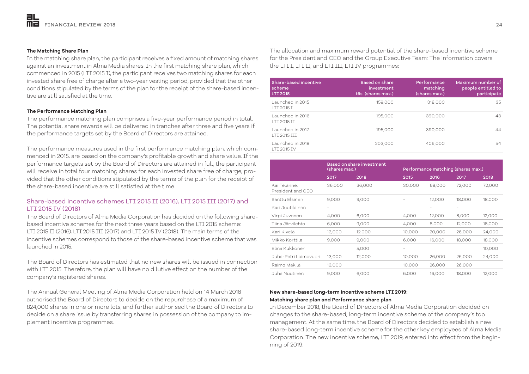### **The Matching Share Plan**

In the matching share plan, the participant receives a fixed amount of matching shares against an investment in Alma Media shares. In the first matching share plan, which commenced in 2015 (LTI 2015 I), the participant receives two matching shares for each invested share free of charge after a two-year vesting period, provided that the other conditions stipulated by the terms of the plan for the receipt of the share-based incentive are still satisfied at the time.

### **The Performance Matching Plan**

The performance matching plan comprises a five-year performance period in total. The potential share rewards will be delivered in tranches after three and five years if the performance targets set by the Board of Directors are attained.

The performance measures used in the first performance matching plan, which commenced in 2015, are based on the company's profitable growth and share value. If the performance targets set by the Board of Directors are attained in full, the participant will receive in total four matching shares for each invested share free of charge, provided that the other conditions stipulated by the terms of the plan for the receipt of the share-based incentive are still satisfied at the time.

## Share-based incentive schemes LTI 2015 II (2016), LTI 2015 III (2017) and LTI 2015 IV (2018)

The Board of Directors of Alma Media Corporation has decided on the following sharebased incentive schemes for the next three years based on the LTI 2015 scheme: LTI 2015 II (2016), LTI 2015 III (2017) and LTI 2015 IV (2018). The main terms of the incentive schemes correspond to those of the share-based incentive scheme that was launched in 2015.

The Board of Directors has estimated that no new shares will be issued in connection with LTI 2015. Therefore, the plan will have no dilutive effect on the number of the company's registered shares.

The Annual General Meeting of Alma Media Corporation held on 14 March 2018 authorised the Board of Directors to decide on the repurchase of a maximum of 824,000 shares in one or more lots, and further authorised the Board of Directors to decide on a share issue by transferring shares in possession of the company to implement incentive programmes.

The allocation and maximum reward potential of the share-based incentive scheme for the President and CEO and the Group Executive Team: The information covers the LTI I, LTI II, and LTI III, LTI IV programmes:

| Share-based incentive<br>scheme<br><b>LTI 2015</b> | <b>Based on share</b><br>investment<br>täs (shares max.) | Performance<br>matching<br>(shares max.) | Maximum number of<br>people entitle <u>d to</u><br>participate |
|----------------------------------------------------|----------------------------------------------------------|------------------------------------------|----------------------------------------------------------------|
| Launched in 2015<br><b>I TT 2015 T</b>             | 159,000                                                  | 318,000                                  | 35                                                             |
| Launched in 2016<br><b>I TT 2015 TT</b>            | 195,000                                                  | 390,000                                  | 43                                                             |
| Launched in 2017<br><b>I TT 2015 TTT</b>           | 195,000                                                  | 390,000                                  | 44                                                             |
| Launched in 2018<br><b>I TT 2015 TV</b>            | 203,000                                                  | 406,000                                  | 54                                                             |

|                                   | <b>Based on share investment</b><br>(shares max.) |        | Performance matching (shares max.) |                          |        |        |
|-----------------------------------|---------------------------------------------------|--------|------------------------------------|--------------------------|--------|--------|
|                                   | 2017                                              | 2018   | 2015                               | 2016                     | 2017   | 2018   |
| Kai Telanne,<br>President and CFO | 36,000                                            | 36,000 | 30,000                             | 68,000                   | 72,000 | 72,000 |
| Santtu Elsinen                    | 9,000                                             | 9,000  |                                    | 12,000                   | 18,000 | 18,000 |
| Kari Juutilainen                  | $\overline{\phantom{0}}$                          |        |                                    | $\overline{\phantom{0}}$ |        |        |
| Virpi Juvonen                     | 4,000                                             | 6,000  | 4,000                              | 12,000                   | 8,000  | 12,000 |
| Tiina Järvilehto                  | 6,000                                             | 9,000  | 4,000                              | 8,000                    | 12,000 | 18,000 |
| Kari Kivelä                       | 13,000                                            | 12,000 | 10,000                             | 20,000                   | 26,000 | 24,000 |
| Mikko Korttila                    | 9,000                                             | 9,000  | 6,000                              | 16,000                   | 18,000 | 18,000 |
| Flina Kukkonen                    |                                                   | 5,000  |                                    |                          |        | 10,000 |
| Juha-Petri Loimovuori             | 13,000                                            | 12,000 | 10,000                             | 26,000                   | 26,000 | 24,000 |
| Raimo Mäkilä                      | 13,000                                            |        | 10,000                             | 26,000                   | 26,000 |        |
| Juha Nuutinen                     | 9,000                                             | 6,000  | 6,000                              | 16,000                   | 18,000 | 12,000 |

### **New share-based long-term incentive scheme LTI 2019: Matching share plan and Performance share plan**

In December 2018, the Board of Directors of Alma Media Corporation decided on changes to the share-based, long-term incentive scheme of the company's top management. At the same time, the Board of Directors decided to establish a new share-based long-term incentive scheme for the other key employees of Alma Media Corporation. The new incentive scheme, LTI 2019, entered into effect from the beginning of 2019.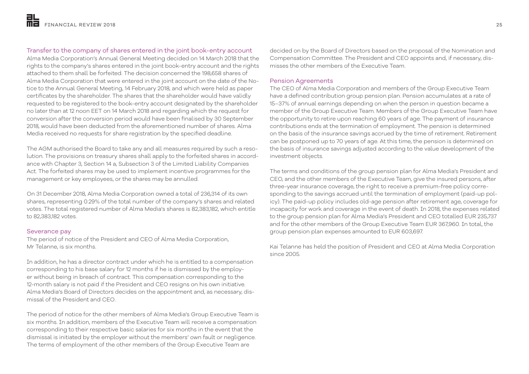# Transfer to the company of shares entered in the joint book-entry account

Alma Media Corporation's Annual General Meeting decided on 14 March 2018 that the rights to the company's shares entered in the joint book-entry account and the rights attached to them shall be forfeited. The decision concerned the 198,658 shares of Alma Media Corporation that were entered in the joint account on the date of the Notice to the Annual General Meeting, 14 February 2018, and which were held as paper certificates by the shareholder. The shares that the shareholder would have validly requested to be registered to the book-entry account designated by the shareholder no later than at 12 noon EET on 14 March 2018 and regarding which the request for conversion after the conversion period would have been finalised by 30 September 2018, would have been deducted from the aforementioned number of shares. Alma Media received no requests for share registration by the specified deadline.

The AGM authorised the Board to take any and all measures required by such a resolution. The provisions on treasury shares shall apply to the forfeited shares in accordance with Chapter 3, Section 14 a, Subsection 3 of the Limited Liability Companies Act. The forfeited shares may be used to implement incentive programmes for the management or key employees, or the shares may be annulled.

On 31 December 2018, Alma Media Corporation owned a total of 236,314 of its own shares, representing 0.29% of the total number of the company's shares and related votes. The total registered number of Alma Media's shares is 82,383,182, which entitle to 82,383,182 votes.

### Severance pay

The period of notice of the President and CEO of Alma Media Corporation, Mr Telanne, is six months.

In addition, he has a director contract under which he is entitled to a compensation corresponding to his base salary for 12 months if he is dismissed by the employer without being in breach of contract. This compensation corresponding to the 12-month salary is not paid if the President and CEO resigns on his own initiative. Alma Media's Board of Directors decides on the appointment and, as necessary, dismissal of the President and CEO.

The period of notice for the other members of Alma Media's Group Executive Team is six months. In addition, members of the Executive Team will receive a compensation corresponding to their respective basic salaries for six months in the event that the dismissal is initiated by the employer without the members' own fault or negligence. The terms of employment of the other members of the Group Executive Team are

decided on by the Board of Directors based on the proposal of the Nomination and Compensation Committee. The President and CEO appoints and, if necessary, dismisses the other members of the Executive Team.

### Pension Agreements

The CEO of Alma Media Corporation and members of the Group Executive Team have a defined contribution group pension plan. Pension accumulates at a rate of 15–37% of annual earnings depending on when the person in question became a member of the Group Executive Team. Members of the Group Executive Team have the opportunity to retire upon reaching 60 years of age. The payment of insurance contributions ends at the termination of employment. The pension is determined on the basis of the insurance savings accrued by the time of retirement. Retirement can be postponed up to 70 years of age. At this time, the pension is determined on the basis of insurance savings adjusted according to the value development of the investment objects.

The terms and conditions of the group pension plan for Alma Media's President and CEO, and the other members of the Executive Team, give the insured persons, after three-year insurance coverage, the right to receive a premium-free policy corresponding to the savings accrued until the termination of employment (paid-up policy). The paid-up policy includes old-age pension after retirement age, coverage for incapacity for work and coverage in the event of death. In 2018, the expenses related to the group pension plan for Alma Media's President and CEO totalled EUR 235,737 and for the other members of the Group Executive Team EUR 367,960. In total, the group pension plan expenses amounted to EUR 603,697.

Kai Telanne has held the position of President and CEO at Alma Media Corporation since 2005.